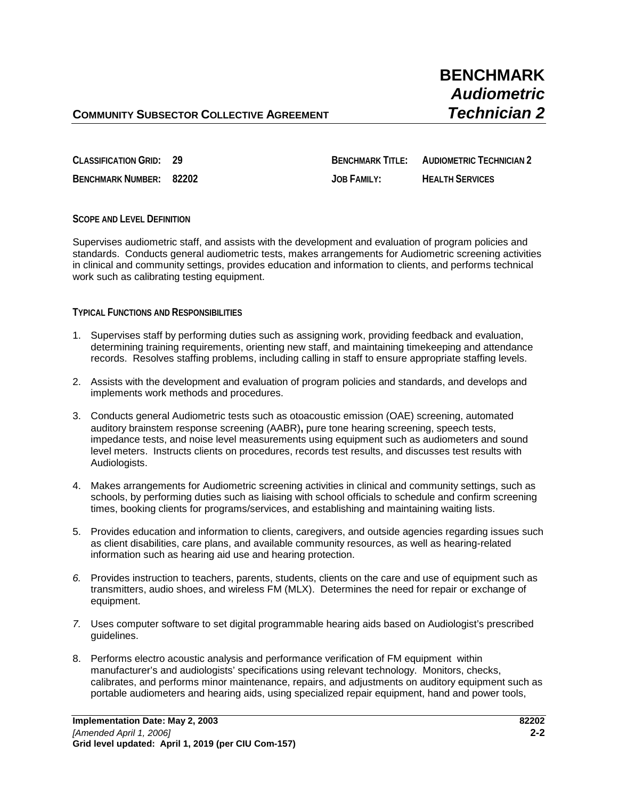**CLASSIFICATION GRID: 29 BENCHMARK TITLE: AUDIOMETRIC TECHNICIAN 2**

**BENCHMARK NUMBER: 82202 JOB FAMILY: HEALTH SERVICES**

## **SCOPE AND LEVEL DEFINITION**

Supervises audiometric staff, and assists with the development and evaluation of program policies and standards. Conducts general audiometric tests, makes arrangements for Audiometric screening activities in clinical and community settings, provides education and information to clients, and performs technical work such as calibrating testing equipment.

## **TYPICAL FUNCTIONS AND RESPONSIBILITIES**

- 1. Supervises staff by performing duties such as assigning work, providing feedback and evaluation, determining training requirements, orienting new staff, and maintaining timekeeping and attendance records. Resolves staffing problems, including calling in staff to ensure appropriate staffing levels.
- 2. Assists with the development and evaluation of program policies and standards, and develops and implements work methods and procedures.
- 3. Conducts general Audiometric tests such as otoacoustic emission (OAE) screening, automated auditory brainstem response screening (AABR)**,** pure tone hearing screening, speech tests, impedance tests, and noise level measurements using equipment such as audiometers and sound level meters. Instructs clients on procedures, records test results, and discusses test results with Audiologists.
- 4. Makes arrangements for Audiometric screening activities in clinical and community settings, such as schools, by performing duties such as liaising with school officials to schedule and confirm screening times, booking clients for programs/services, and establishing and maintaining waiting lists.
- 5. Provides education and information to clients, caregivers, and outside agencies regarding issues such as client disabilities, care plans, and available community resources, as well as hearing-related information such as hearing aid use and hearing protection.
- *6.* Provides instruction to teachers, parents, students, clients on the care and use of equipment such as transmitters, audio shoes, and wireless FM (MLX). Determines the need for repair or exchange of equipment.
- *7.* Uses computer software to set digital programmable hearing aids based on Audiologist's prescribed guidelines.
- 8. Performs electro acoustic analysis and performance verification of FM equipment within manufacturer's and audiologists' specifications using relevant technology.Monitors, checks, calibrates, and performs minor maintenance, repairs, and adjustments on auditory equipment such as portable audiometers and hearing aids, using specialized repair equipment, hand and power tools,